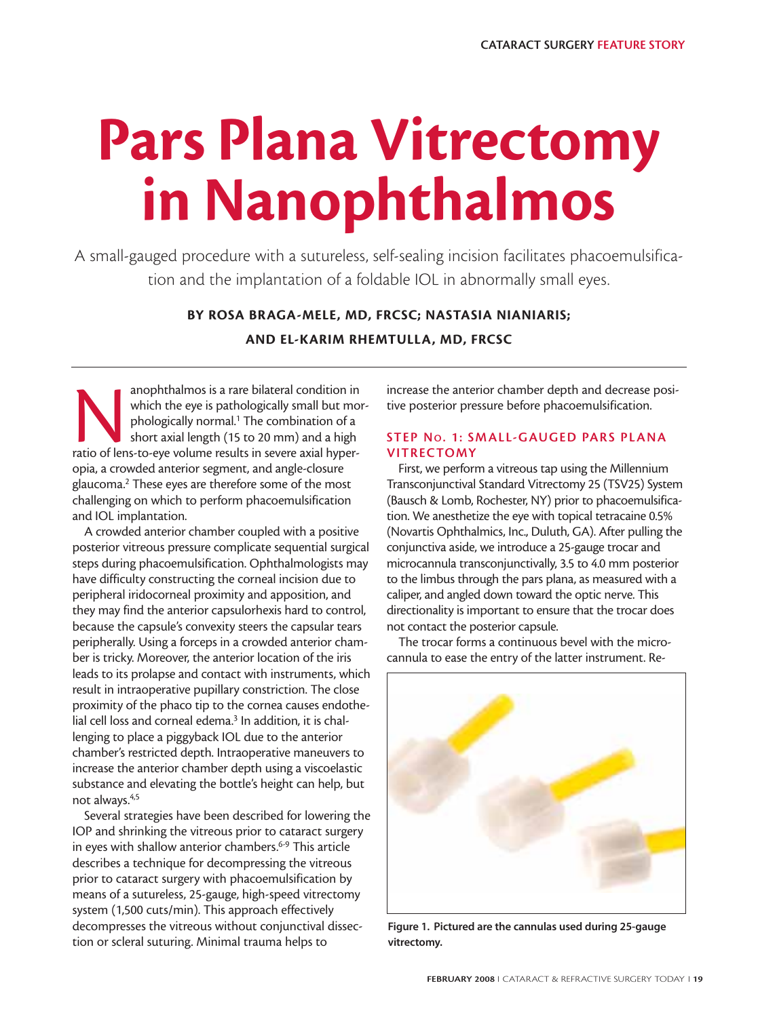# **Pars Plana Vitrectomy in Nanophthalmos**

A small-gauged procedure with a sutureless, self-sealing incision facilitates phacoemulsification and the implantation of a foldable IOL in abnormally small eyes.

> **BY ROSA BRAGA-MELE, MD, FRCSC; NASTASIA NIANIARIS; AND EL-KARIM RHEMTULLA, MD, FRCSC**

anophthalmos is a rare bilateral condition in<br>
which the eye is pathologically small but mo<br>
phologically normal.<sup>1</sup> The combination of a<br>
short axial length (15 to 20 mm) and a high<br>
ratio of lens-to-eye volume results in which the eye is pathologically small but morphologically normal.<sup>1</sup> The combination of a short axial length (15 to 20 mm) and a high opia, a crowded anterior segment, and angle-closure glaucoma.2 These eyes are therefore some of the most challenging on which to perform phacoemulsification and IOL implantation.

A crowded anterior chamber coupled with a positive posterior vitreous pressure complicate sequential surgical steps during phacoemulsification. Ophthalmologists may have difficulty constructing the corneal incision due to peripheral iridocorneal proximity and apposition, and they may find the anterior capsulorhexis hard to control, because the capsule's convexity steers the capsular tears peripherally. Using a forceps in a crowded anterior chamber is tricky. Moreover, the anterior location of the iris leads to its prolapse and contact with instruments, which result in intraoperative pupillary constriction. The close proximity of the phaco tip to the cornea causes endothelial cell loss and corneal edema.<sup>3</sup> In addition, it is challenging to place a piggyback IOL due to the anterior chamber's restricted depth. Intraoperative maneuvers to increase the anterior chamber depth using a viscoelastic substance and elevating the bottle's height can help, but not always.4,5

Several strategies have been described for lowering the IOP and shrinking the vitreous prior to cataract surgery in eyes with shallow anterior chambers.<sup>6-9</sup> This article describes a technique for decompressing the vitreous prior to cataract surgery with phacoemulsification by means of a sutureless, 25-gauge, high-speed vitrectomy system (1,500 cuts/min). This approach effectively decompresses the vitreous without conjunctival dissection or scleral suturing. Minimal trauma helps to

increase the anterior chamber depth and decrease positive posterior pressure before phacoemulsification.

# **STEP NO. 1: SMALL-GAUGED PARS PLANA VITRECTOMY**

First, we perform a vitreous tap using the Millennium Transconjunctival Standard Vitrectomy 25 (TSV25) System (Bausch & Lomb, Rochester, NY) prior to phacoemulsification. We anesthetize the eye with topical tetracaine 0.5% (Novartis Ophthalmics, Inc., Duluth, GA). After pulling the conjunctiva aside, we introduce a 25-gauge trocar and microcannula transconjunctivally, 3.5 to 4.0 mm posterior to the limbus through the pars plana, as measured with a caliper, and angled down toward the optic nerve. This directionality is important to ensure that the trocar does not contact the posterior capsule.

The trocar forms a continuous bevel with the microcannula to ease the entry of the latter instrument. Re-



**Figure 1. Pictured are the cannulas used during 25-gauge vitrectomy.**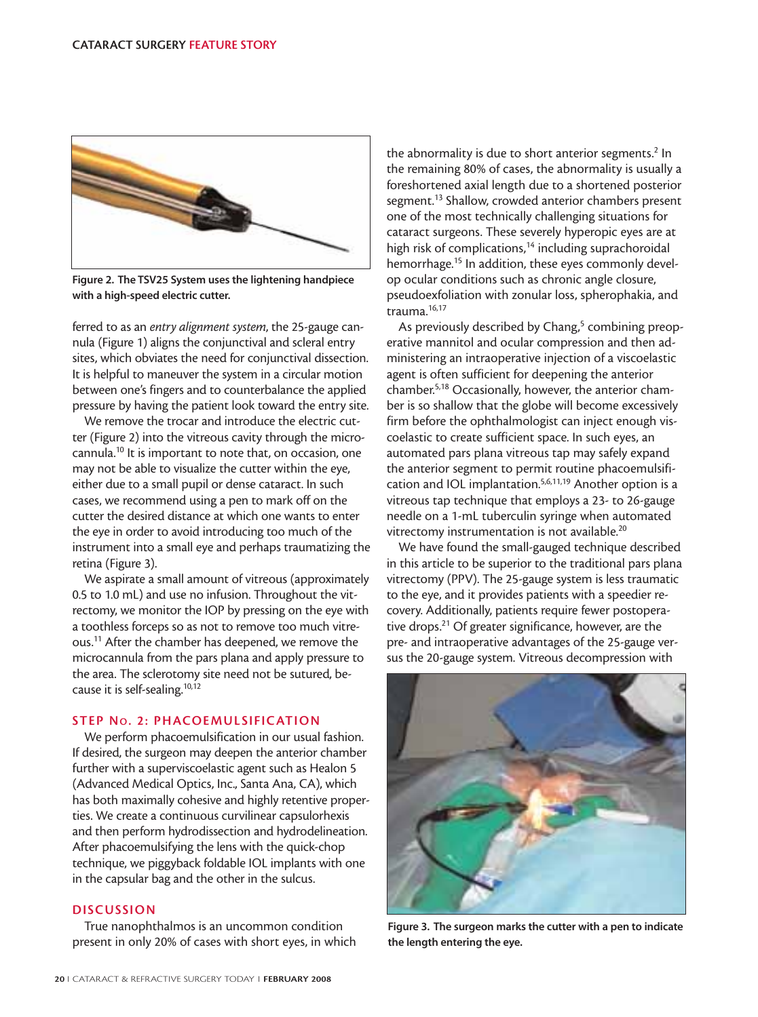

**Figure 2. The TSV25 System uses the lightening handpiece with a high-speed electric cutter.**

ferred to as an *entry alignment system*, the 25-gauge cannula (Figure 1) aligns the conjunctival and scleral entry sites, which obviates the need for conjunctival dissection. It is helpful to maneuver the system in a circular motion between one's fingers and to counterbalance the applied pressure by having the patient look toward the entry site.

We remove the trocar and introduce the electric cutter (Figure 2) into the vitreous cavity through the microcannula.10 It is important to note that, on occasion, one may not be able to visualize the cutter within the eye, either due to a small pupil or dense cataract. In such cases, we recommend using a pen to mark off on the cutter the desired distance at which one wants to enter the eye in order to avoid introducing too much of the instrument into a small eye and perhaps traumatizing the retina (Figure 3).

We aspirate a small amount of vitreous (approximately 0.5 to 1.0 mL) and use no infusion. Throughout the vitrectomy, we monitor the IOP by pressing on the eye with a toothless forceps so as not to remove too much vitreous.11 After the chamber has deepened, we remove the microcannula from the pars plana and apply pressure to the area. The sclerotomy site need not be sutured, because it is self-sealing.<sup>10,12</sup>

## **STEP NO. 2: PHACOEMULSIFICATION**

We perform phacoemulsification in our usual fashion. If desired, the surgeon may deepen the anterior chamber further with a superviscoelastic agent such as Healon 5 (Advanced Medical Optics, Inc., Santa Ana, CA), which has both maximally cohesive and highly retentive properties. We create a continuous curvilinear capsulorhexis and then perform hydrodissection and hydrodelineation. After phacoemulsifying the lens with the quick-chop technique, we piggyback foldable IOL implants with one in the capsular bag and the other in the sulcus.

### **DISCUSSION**

True nanophthalmos is an uncommon condition present in only 20% of cases with short eyes, in which

the abnormality is due to short anterior segments.<sup>2</sup> In the remaining 80% of cases, the abnormality is usually a foreshortened axial length due to a shortened posterior segment.<sup>13</sup> Shallow, crowded anterior chambers present one of the most technically challenging situations for cataract surgeons. These severely hyperopic eyes are at high risk of complications, $14$  including suprachoroidal hemorrhage.<sup>15</sup> In addition, these eyes commonly develop ocular conditions such as chronic angle closure, pseudoexfoliation with zonular loss, spherophakia, and trauma.16,17

As previously described by Chang, $5$  combining preoperative mannitol and ocular compression and then administering an intraoperative injection of a viscoelastic agent is often sufficient for deepening the anterior chamber.5,18 Occasionally, however, the anterior chamber is so shallow that the globe will become excessively firm before the ophthalmologist can inject enough viscoelastic to create sufficient space. In such eyes, an automated pars plana vitreous tap may safely expand the anterior segment to permit routine phacoemulsification and IOL implantation.<sup>5,6,11,19</sup> Another option is a vitreous tap technique that employs a 23- to 26-gauge needle on a 1-mL tuberculin syringe when automated vitrectomy instrumentation is not available.20

We have found the small-gauged technique described in this article to be superior to the traditional pars plana vitrectomy (PPV). The 25-gauge system is less traumatic to the eye, and it provides patients with a speedier recovery. Additionally, patients require fewer postoperative drops.<sup>21</sup> Of greater significance, however, are the pre- and intraoperative advantages of the 25-gauge versus the 20-gauge system. Vitreous decompression with



**Figure 3. The surgeon marks the cutter with a pen to indicate the length entering the eye.**